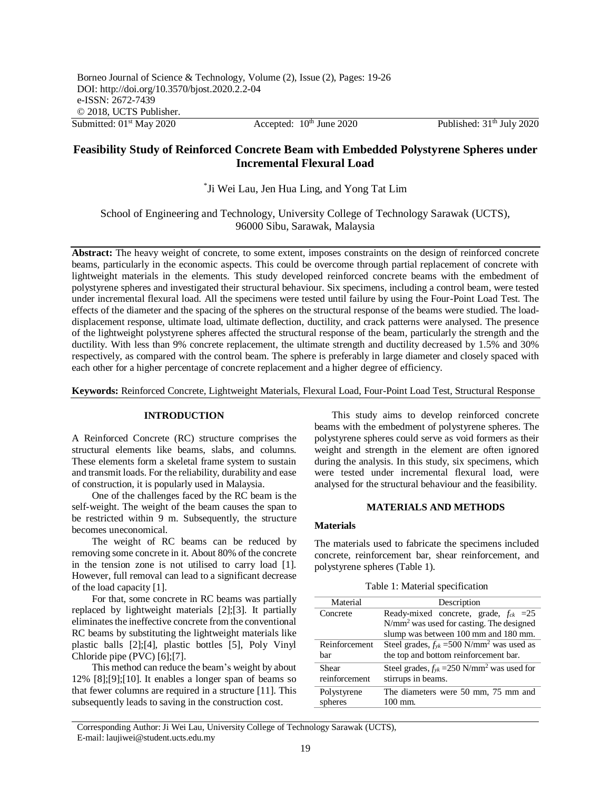Accepted:  $10^{th}$  June 2020 Published:  $31^{th}$  July 2020

# **Feasibility Study of Reinforced Concrete Beam with Embedded Polystyrene Spheres under Incremental Flexural Load**

\* Ji Wei Lau, Jen Hua Ling, and Yong Tat Lim

School of Engineering and Technology, University College of Technology Sarawak (UCTS), 96000 Sibu, Sarawak, Malaysia

**Abstract:** The heavy weight of concrete, to some extent, imposes constraints on the design of reinforced concrete beams, particularly in the economic aspects. This could be overcome through partial replacement of concrete with lightweight materials in the elements. This study developed reinforced concrete beams with the embedment of polystyrene spheres and investigated their structural behaviour. Six specimens, including a control beam, were tested under incremental flexural load. All the specimens were tested until failure by using the Four-Point Load Test. The effects of the diameter and the spacing of the spheres on the structural response of the beams were studied. The loaddisplacement response, ultimate load, ultimate deflection, ductility, and crack patterns were analysed. The presence of the lightweight polystyrene spheres affected the structural response of the beam, particularly the strength and the ductility. With less than 9% concrete replacement, the ultimate strength and ductility decreased by 1.5% and 30% respectively, as compared with the control beam. The sphere is preferably in large diameter and closely spaced with each other for a higher percentage of concrete replacement and a higher degree of efficiency.

**Keywords:** Reinforced Concrete, Lightweight Materials, Flexural Load, Four-Point Load Test, Structural Response

## **INTRODUCTION**

A Reinforced Concrete (RC) structure comprises the structural elements like beams, slabs, and columns. These elements form a skeletal frame system to sustain and transmit loads. For the reliability, durability and ease of construction, it is popularly used in Malaysia.

 One of the challenges faced by the RC beam is the self-weight. The weight of the beam causes the span to be restricted within 9 m. Subsequently, the structure becomes uneconomical.

 The weight of RC beams can be reduced by removing some concrete in it. About 80% of the concrete in the tension zone is not utilised to carry load [1]. However, full removal can lead to a significant decrease of the load capacity [1].

 For that, some concrete in RC beams was partially replaced by lightweight materials [2];[3]. It partially eliminates the ineffective concrete from the conventional RC beams by substituting the lightweight materials like plastic balls [2];[4], plastic bottles [5], Poly Vinyl Chloride pipe (PVC) [6];[7].

 This method can reduce the beam's weight by about 12% [8];[9];[10]. It enables a longer span of beams so that fewer columns are required in a structure [11]. This subsequently leads to saving in the construction cost.

 This study aims to develop reinforced concrete beams with the embedment of polystyrene spheres. The polystyrene spheres could serve as void formers as their weight and strength in the element are often ignored during the analysis. In this study, six specimens, which were tested under incremental flexural load, were analysed for the structural behaviour and the feasibility.

## **MATERIALS AND METHODS**

## **Materials**

The materials used to fabricate the specimens included concrete, reinforcement bar, shear reinforcement, and polystyrene spheres (Table 1).

Table 1: Material specification

| Material      | Description                                                 |
|---------------|-------------------------------------------------------------|
| Concrete      | Ready-mixed concrete, grade, $f_{ck}$ =25                   |
|               | $N/mm2$ was used for casting. The designed                  |
|               | slump was between 100 mm and 180 mm.                        |
| Reinforcement | Steel grades, $f_{yk} = 500$ N/mm <sup>2</sup> was used as  |
| har           | the top and bottom reinforcement bar.                       |
| Shear         | Steel grades, $f_{yk} = 250$ N/mm <sup>2</sup> was used for |
| reinforcement | stirrups in beams.                                          |
| Polystyrene   | The diameters were 50 mm, 75 mm and                         |
| spheres       | 100 mm.                                                     |

Corresponding Author: Ji Wei Lau, University College of Technology Sarawak (UCTS), E-mail: laujiwei@student.ucts.edu.my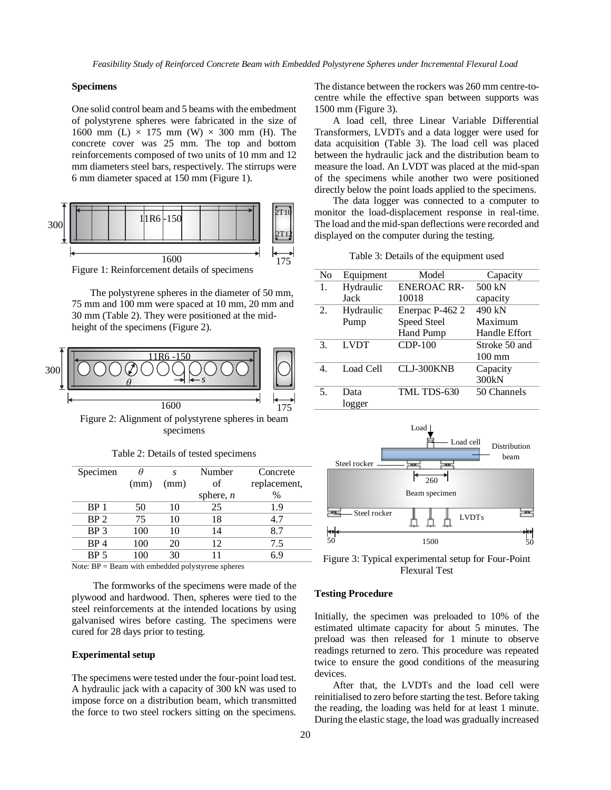*Feasibility Study of Reinforced Concrete Beam with Embedded Polystyrene Spheres under Incremental Flexural Load* 

#### **Specimens**

One solid control beam and 5 beams with the embedment of polystyrene spheres were fabricated in the size of 1600 mm (L)  $\times$  175 mm (W)  $\times$  300 mm (H). The concrete cover was 25 mm. The top and bottom reinforcements composed of two units of 10 mm and 12 mm diameters steel bars, respectively. The stirrups were 6 mm diameter spaced at 150 mm (Figure 1).



The polystyrene spheres in the diameter of 50 mm, 75 mm and 100 mm were spaced at 10 mm, 20 mm and 30 mm (Table 2). They were positioned at the midheight of the specimens (Figure 2).



Figure 2: Alignment of polystyrene spheres in beam specimens

| Specimen        |      | S.   | Number      | Concrete     |
|-----------------|------|------|-------------|--------------|
|                 | (mm) | (mm) | of          | replacement, |
|                 |      |      | sphere, $n$ | $\%$         |
| BP 1            | 50   | 10   | 25          | 1.9          |
| BP <sub>2</sub> | 75   | 10   | 18          | 4.7          |
| BP <sub>3</sub> | 100  | 10   | 14          | 8.7          |
| BP <sub>4</sub> | 100  | 20   | 12          | 7.5          |
| BP 5            | 100  | 30   |             | Κg           |

Table 2: Details of tested specimens

Note: BP = Beam with embedded polystyrene spheres

The formworks of the specimens were made of the plywood and hardwood. Then, spheres were tied to the steel reinforcements at the intended locations by using galvanised wires before casting. The specimens were cured for 28 days prior to testing.

#### **Experimental setup**

The specimens were tested under the four-point load test. A hydraulic jack with a capacity of 300 kN was used to impose force on a distribution beam, which transmitted the force to two steel rockers sitting on the specimens. The distance between the rockers was 260 mm centre-tocentre while the effective span between supports was 1500 mm (Figure 3).

A load cell, three Linear Variable Differential Transformers, LVDTs and a data logger were used for data acquisition (Table 3). The load cell was placed between the hydraulic jack and the distribution beam to measure the load. An LVDT was placed at the mid-span of the specimens while another two were positioned directly below the point loads applied to the specimens.

The data logger was connected to a computer to monitor the load-displacement response in real-time. The load and the mid-span deflections were recorded and displayed on the computer during the testing.

|  |  |  |  | Table 3: Details of the equipment used |  |
|--|--|--|--|----------------------------------------|--|
|--|--|--|--|----------------------------------------|--|

| No | Equipment   | Model              | Capacity         |
|----|-------------|--------------------|------------------|
| 1. | Hydraulic   | <b>ENEROAC RR-</b> | 500 kN           |
|    | Jack        | 10018              | capacity         |
| 2. | Hydraulic   | Enerpac P-462 2    | 490 kN           |
|    | Pump        | Speed Steel        | Maximum          |
|    |             | <b>Hand Pump</b>   | Handle Effort    |
| 3. | <b>LVDT</b> | <b>CDP-100</b>     | Stroke 50 and    |
|    |             |                    | $100 \text{ mm}$ |
|    | Load Cell   | CLJ-300KNB         | Capacity         |
|    |             |                    | 300kN            |
| 5. | Data        | TML TDS-630        | 50 Channels      |
|    | logger      |                    |                  |



Figure 3: Typical experimental setup for Four-Point Flexural Test

#### **Testing Procedure**

Initially, the specimen was preloaded to 10% of the estimated ultimate capacity for about 5 minutes. The preload was then released for 1 minute to observe readings returned to zero. This procedure was repeated twice to ensure the good conditions of the measuring devices.

After that, the LVDTs and the load cell were reinitialised to zero before starting the test. Before taking the reading, the loading was held for at least 1 minute. During the elastic stage, the load was gradually increased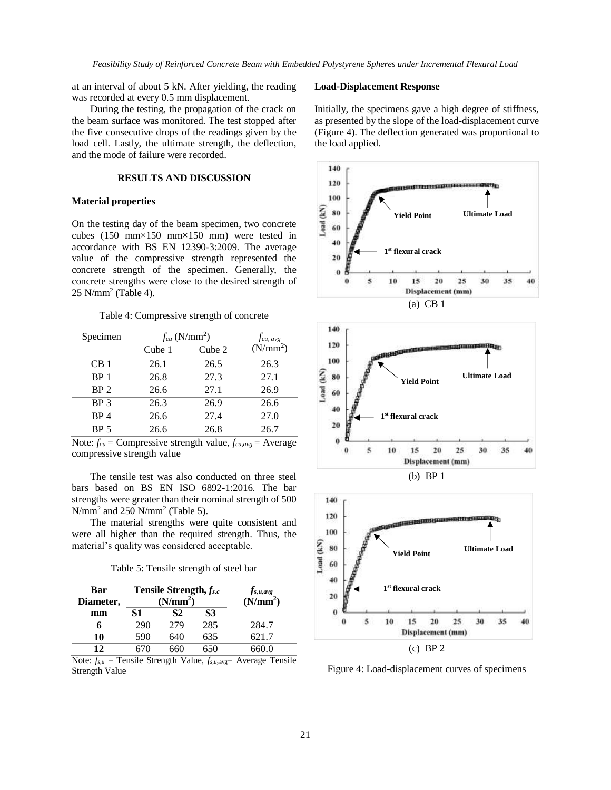at an interval of about 5 kN. After yielding, the reading was recorded at every 0.5 mm displacement.

During the testing, the propagation of the crack on the beam surface was monitored. The test stopped after the five consecutive drops of the readings given by the load cell. Lastly, the ultimate strength, the deflection, and the mode of failure were recorded.

#### **RESULTS AND DISCUSSION**

#### **Material properties**

On the testing day of the beam specimen, two concrete cubes (150 mm×150 mm×150 mm) were tested in accordance with BS EN 12390-3:2009. The average value of the compressive strength represented the concrete strength of the specimen. Generally, the concrete strengths were close to the desired strength of 25 N/mm<sup>2</sup> (Table 4).

#### Table 4: Compressive strength of concrete

| Specimen        | $f_{cu}$ (N/mm <sup>2</sup> ) |        | $f_{cu, avg}$        |
|-----------------|-------------------------------|--------|----------------------|
|                 | Cube 1                        | Cube 2 | (N/mm <sup>2</sup> ) |
| CB <sub>1</sub> | 26.1                          | 26.5   | 26.3                 |
| BP <sub>1</sub> | 26.8                          | 27.3   | 27.1                 |
| BP <sub>2</sub> | 26.6                          | 27.1   | 26.9                 |
| BP <sub>3</sub> | 26.3                          | 26.9   | 26.6                 |
| BP <sub>4</sub> | 26.6                          | 27.4   | 27.0                 |
| BP <sub>5</sub> | 26.6                          | 26.8   | 26.7                 |

Note:  $f_{cu}$  = Compressive strength value,  $f_{cu,avg}$  = Average compressive strength value

The tensile test was also conducted on three steel bars based on BS EN ISO 6892-1:2016. The bar strengths were greater than their nominal strength of 500  $N/mm^2$  and 250  $N/mm^2$  (Table 5).

The material strengths were quite consistent and were all higher than the required strength. Thus, the material's quality was considered acceptable.

Table 5: Tensile strength of steel bar

| Bar<br>Diameter, | Tensile Strength, fs.c<br>(N/mm <sup>2</sup> ) |     | $f_{s,u,avg}$<br>(N/mm <sup>2</sup> ) |       |
|------------------|------------------------------------------------|-----|---------------------------------------|-------|
| mm               | 51                                             | S2  | S3                                    |       |
|                  | 290                                            | 279 | 285                                   | 284.7 |
| 10               | 590                                            | 640 | 635                                   | 621.7 |
| 12               |                                                |     | 650                                   | 660 0 |

Note:  $f_{s,u}$  = Tensile Strength Value,  $f_{s,u,\text{avg}}$  = Average Tensile Strength Value

### **Load-Displacement Response**

Initially, the specimens gave a high degree of stiffness, as presented by the slope of the load-displacement curve (Figure 4). The deflection generated was proportional to the load applied.









Figure 4: Load-displacement curves of specimens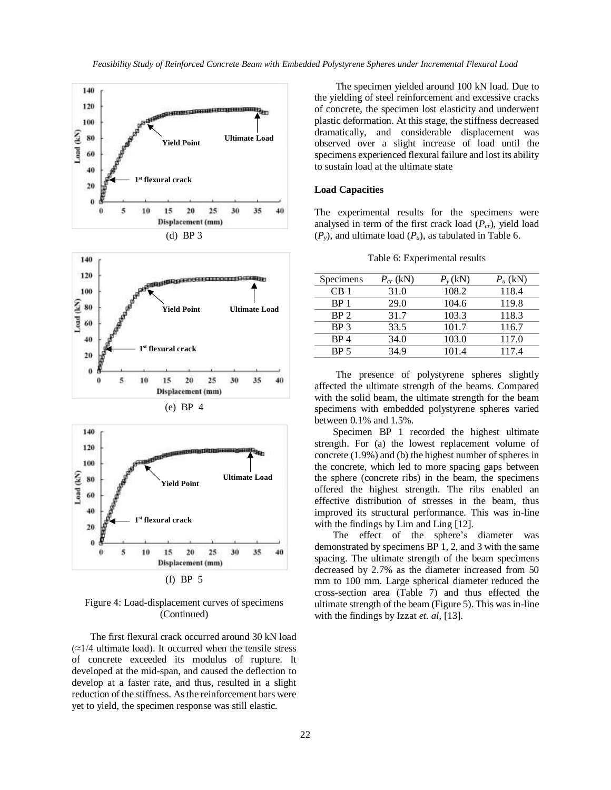

(f) BP 5

## Figure 4: Load-displacement curves of specimens (Continued)

The first flexural crack occurred around 30 kN load  $\approx$  1/4 ultimate load). It occurred when the tensile stress of concrete exceeded its modulus of rupture. It developed at the mid-span, and caused the deflection to develop at a faster rate, and thus, resulted in a slight reduction of the stiffness. As the reinforcement bars were yet to yield, the specimen response was still elastic.

The specimen yielded around 100 kN load. Due to the yielding of steel reinforcement and excessive cracks of concrete, the specimen lost elasticity and underwent plastic deformation. At this stage, the stiffness decreased dramatically, and considerable displacement was observed over a slight increase of load until the specimens experienced flexural failure and lost its ability to sustain load at the ultimate state

### **Load Capacities**

The experimental results for the specimens were analysed in term of the first crack load (*Pcr*), yield load  $(P_y)$ , and ultimate load  $(P_u)$ , as tabulated in Table 6.

Table 6: Experimental results

| Specimens       | $P_{cr}$ (kN) | $P_{v}$ (kN) | $P_u$ (kN) |
|-----------------|---------------|--------------|------------|
| CB <sub>1</sub> | 31.0          | 108.2        | 118.4      |
| BP <sub>1</sub> | 29.0          | 104.6        | 119.8      |
| BP <sub>2</sub> | 31.7          | 103.3        | 118.3      |
| BP <sub>3</sub> | 33.5          | 101.7        | 116.7      |
| BP4             | 34.0          | 103.0        | 117.0      |
| BP <sub>5</sub> | 34.9          | 101.4        | 117.4      |

The presence of polystyrene spheres slightly affected the ultimate strength of the beams. Compared with the solid beam, the ultimate strength for the beam specimens with embedded polystyrene spheres varied between 0.1% and 1.5%.

Specimen BP 1 recorded the highest ultimate strength. For (a) the lowest replacement volume of concrete (1.9%) and (b) the highest number of spheres in the concrete, which led to more spacing gaps between the sphere (concrete ribs) in the beam, the specimens offered the highest strength. The ribs enabled an effective distribution of stresses in the beam, thus improved its structural performance. This was in-line with the findings by Lim and Ling [12].

The effect of the sphere's diameter was demonstrated by specimens BP 1, 2, and 3 with the same spacing. The ultimate strength of the beam specimens decreased by 2.7% as the diameter increased from 50 mm to 100 mm. Large spherical diameter reduced the cross-section area (Table 7) and thus effected the ultimate strength of the beam (Figure 5). This was in-line with the findings by Izzat *et. al*, [13].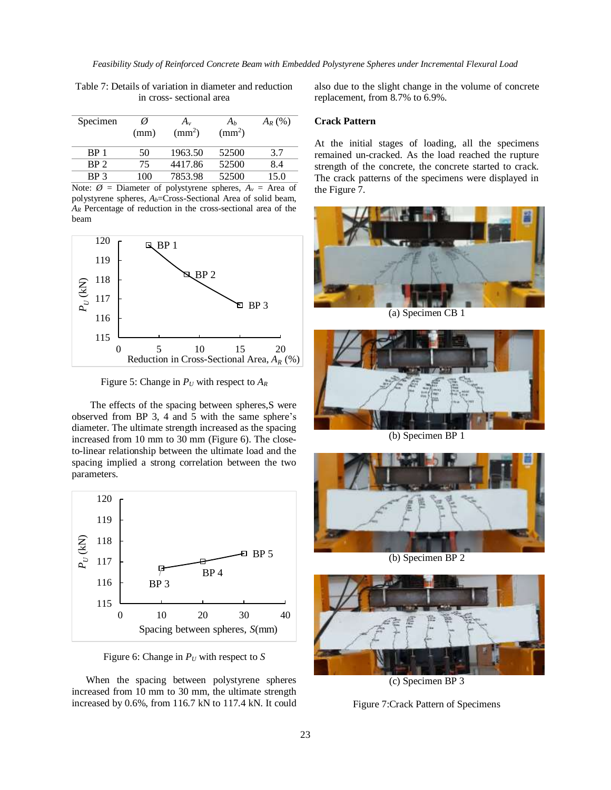| Specimen | Ø<br>(mm) | $A_v$<br>$\text{ (mm}^2\text{)}$ | Aь<br>$\text{m}^2$ | $A_R$ (%) |
|----------|-----------|----------------------------------|--------------------|-----------|
| RP       | 50        | 1963.50                          | 52500              |           |

Table 7: Details of variation in diameter and reduction in cross- sectional area

Note:  $\emptyset$  = Diameter of polystyrene spheres,  $A_v$  = Area of polystyrene spheres,  $A_b$ =Cross-Sectional Area of solid beam, *A<sup>R</sup>* Percentage of reduction in the cross-sectional area of the beam

BP 2 75 4417.86 52500 8.4 BP 3 100 7853.98 52500 15.0



Figure 5: Change in  $P_U$  with respect to  $A_R$ 

The effects of the spacing between spheres,S were observed from BP 3, 4 and 5 with the same sphere's diameter. The ultimate strength increased as the spacing increased from 10 mm to 30 mm (Figure 6). The closeto-linear relationship between the ultimate load and the spacing implied a strong correlation between the two parameters.



Figure 6: Change in *P<sup>U</sup>* with respect to *S*

When the spacing between polystyrene spheres increased from 10 mm to 30 mm, the ultimate strength increased by 0.6%, from 116.7 kN to 117.4 kN. It could

also due to the slight change in the volume of concrete replacement, from 8.7% to 6.9%.

## **Crack Pattern**

At the initial stages of loading, all the specimens remained un-cracked. As the load reached the rupture strength of the concrete, the concrete started to crack. The crack patterns of the specimens were displayed in the Figure 7.



(a) Specimen CB 1



(b) Specimen BP 1



(b) Specimen BP 2



(c) Specimen BP 3

Figure 7:Crack Pattern of Specimens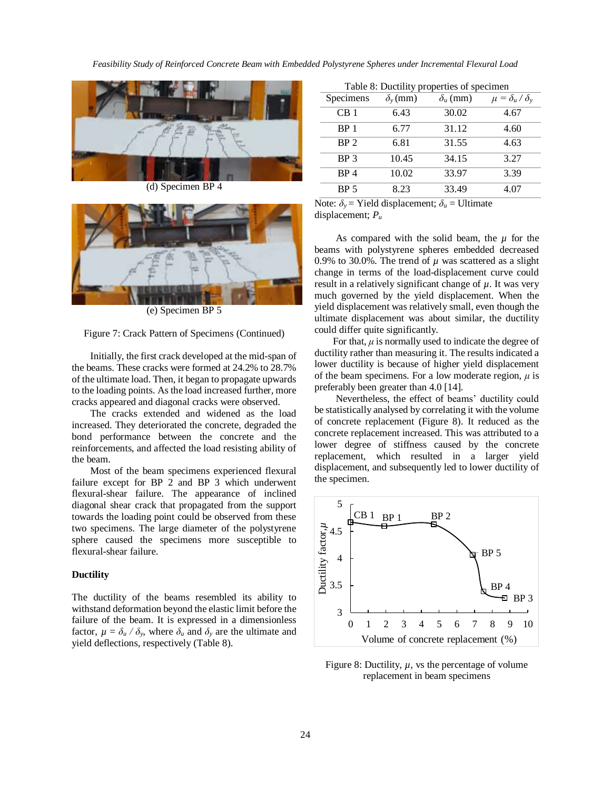*Feasibility Study of Reinforced Concrete Beam with Embedded Polystyrene Spheres under Incremental Flexural Load* 



(d) Specimen BP 4



(e) Specimen BP 5

#### Figure 7: Crack Pattern of Specimens (Continued)

Initially, the first crack developed at the mid-span of the beams. These cracks were formed at 24.2% to 28.7% of the ultimate load. Then, it began to propagate upwards to the loading points. As the load increased further, more cracks appeared and diagonal cracks were observed.

The cracks extended and widened as the load increased. They deteriorated the concrete, degraded the bond performance between the concrete and the reinforcements, and affected the load resisting ability of the beam.

Most of the beam specimens experienced flexural failure except for BP 2 and BP 3 which underwent flexural-shear failure. The appearance of inclined diagonal shear crack that propagated from the support towards the loading point could be observed from these two specimens. The large diameter of the polystyrene sphere caused the specimens more susceptible to flexural-shear failure.

#### **Ductility**

The ductility of the beams resembled its ability to withstand deformation beyond the elastic limit before the failure of the beam. It is expressed in a dimensionless factor,  $\mu = \delta_u / \delta_v$ , where  $\delta_u$  and  $\delta_v$  are the ultimate and yield deflections, respectively (Table 8).

| Table 8: Ductility properties of specimen |                     |                 |                             |  |
|-------------------------------------------|---------------------|-----------------|-----------------------------|--|
| Specimens                                 | $\delta_{\nu}$ (mm) | $\delta_u$ (mm) | $\mu = \delta_u / \delta_v$ |  |
| CB <sub>1</sub>                           | 6.43                | 30.02           | 4.67                        |  |
| BP <sub>1</sub>                           | 6.77                | 31.12           | 4.60                        |  |
| BP <sub>2</sub>                           | 6.81                | 31.55           | 4.63                        |  |
| BP <sub>3</sub>                           | 10.45               | 34.15           | 3.27                        |  |
| BP <sub>4</sub>                           | 10.02               | 33.97           | 3.39                        |  |
| BP <sub>5</sub>                           | 8.23                | 33.49           | 4.07                        |  |

Note:  $\delta_y$  = Yield displacement;  $\delta_u$  = Ultimate displacement; *P<sup>u</sup>*

As compared with the solid beam, the  $\mu$  for the beams with polystyrene spheres embedded decreased 0.9% to 30.0%. The trend of *µ* was scattered as a slight change in terms of the load-displacement curve could result in a relatively significant change of *µ*. It was very much governed by the yield displacement. When the yield displacement was relatively small, even though the ultimate displacement was about similar, the ductility could differ quite significantly.

For that,  $\mu$  is normally used to indicate the degree of ductility rather than measuring it. The results indicated a lower ductility is because of higher yield displacement of the beam specimens. For a low moderate region,  $\mu$  is preferably been greater than 4.0 [14].

Nevertheless, the effect of beams' ductility could be statistically analysed by correlating it with the volume of concrete replacement (Figure 8). It reduced as the concrete replacement increased. This was attributed to a lower degree of stiffness caused by the concrete replacement, which resulted in a larger yield displacement, and subsequently led to lower ductility of the specimen.



Figure 8: Ductility,  $\mu$ , vs the percentage of volume replacement in beam specimens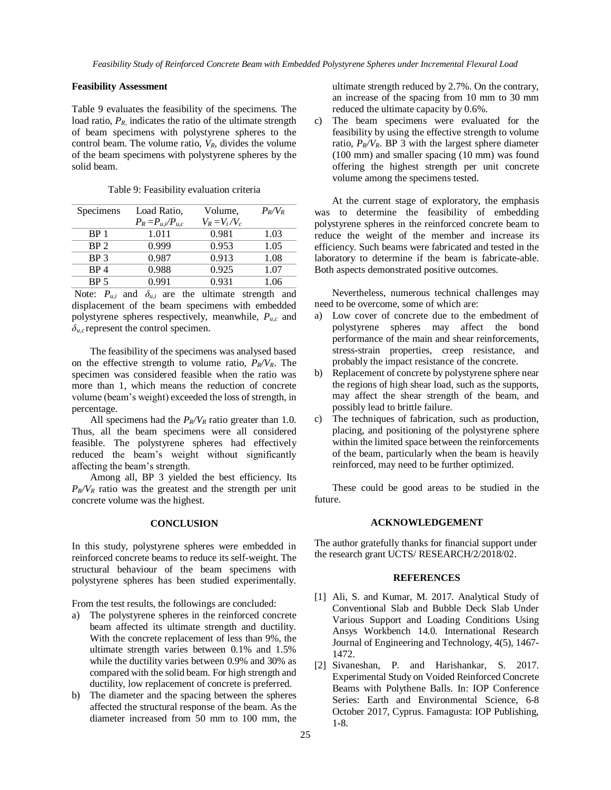### **Feasibility Assessment**

Table 9 evaluates the feasibility of the specimens. The load ratio,  $P_R$ , indicates the ratio of the ultimate strength of beam specimens with polystyrene spheres to the control beam. The volume ratio, *VR*, divides the volume of the beam specimens with polystyrene spheres by the solid beam.

| Specimens                 | Load Ratio,             | Volume,         | $P_R/V_R$                                       |
|---------------------------|-------------------------|-----------------|-------------------------------------------------|
|                           | $P_R = P_{u,i}/P_{u,c}$ | $V_R = V_i/V_c$ |                                                 |
| BP <sub>1</sub>           | 1.011                   | 0.981           | 1.03                                            |
| BP <sub>2</sub>           | 0.999                   | 0.953           | 1.05                                            |
| BP <sub>3</sub>           | 0.987                   | 0.913           | 1.08                                            |
| BP <sub>4</sub>           | 0.988                   | 0.925           | 1.07                                            |
| BP <sub>5</sub>           | 0.991                   | 0.931           | 1.06                                            |
| $N_{\text{max}}$ $\bf{D}$ | <sup>2</sup><br>المسما  |                 | المسمى والمواسم ومقطوع والمتحدث والمسالم المسمر |

Table 9: Feasibility evaluation criteria

Note:  $P_{u,i}$  and  $\delta_{u,i}$  are the ultimate strength and displacement of the beam specimens with embedded polystyrene spheres respectively, meanwhile, *Pu,c* and  $\delta_{u,c}$  represent the control specimen.

The feasibility of the specimens was analysed based on the effective strength to volume ratio,  $P_R/V_R$ . The specimen was considered feasible when the ratio was more than 1, which means the reduction of concrete volume (beam's weight) exceeded the loss of strength, in percentage.

All specimens had the  $P_R/V_R$  ratio greater than 1.0. Thus, all the beam specimens were all considered feasible. The polystyrene spheres had effectively reduced the beam's weight without significantly affecting the beam's strength.

Among all, BP 3 yielded the best efficiency. Its  $P_R/V_R$  ratio was the greatest and the strength per unit concrete volume was the highest.

#### **CONCLUSION**

In this study, polystyrene spheres were embedded in reinforced concrete beams to reduce its self-weight. The structural behaviour of the beam specimens with polystyrene spheres has been studied experimentally.

From the test results, the followings are concluded:

- a) The polystyrene spheres in the reinforced concrete beam affected its ultimate strength and ductility. With the concrete replacement of less than 9%, the ultimate strength varies between 0.1% and 1.5% while the ductility varies between 0.9% and 30% as compared with the solid beam. For high strength and ductility, low replacement of concrete is preferred.
- b) The diameter and the spacing between the spheres affected the structural response of the beam. As the diameter increased from 50 mm to 100 mm, the

ultimate strength reduced by 2.7%. On the contrary, an increase of the spacing from 10 mm to 30 mm reduced the ultimate capacity by 0.6%.

c) The beam specimens were evaluated for the feasibility by using the effective strength to volume ratio,  $P_R/V_R$ . BP 3 with the largest sphere diameter (100 mm) and smaller spacing (10 mm) was found offering the highest strength per unit concrete volume among the specimens tested.

 At the current stage of exploratory, the emphasis was to determine the feasibility of embedding polystyrene spheres in the reinforced concrete beam to reduce the weight of the member and increase its efficiency. Such beams were fabricated and tested in the laboratory to determine if the beam is fabricate-able. Both aspects demonstrated positive outcomes.

 Nevertheless, numerous technical challenges may need to be overcome, some of which are:

- a) Low cover of concrete due to the embedment of polystyrene spheres may affect the bond performance of the main and shear reinforcements, stress-strain properties, creep resistance, and probably the impact resistance of the concrete.
- b) Replacement of concrete by polystyrene sphere near the regions of high shear load, such as the supports, may affect the shear strength of the beam, and possibly lead to brittle failure.
- c) The techniques of fabrication, such as production, placing, and positioning of the polystyrene sphere within the limited space between the reinforcements of the beam, particularly when the beam is heavily reinforced, may need to be further optimized.

These could be good areas to be studied in the future.

## **ACKNOWLEDGEMENT**

The author gratefully thanks for financial support under the research grant UCTS/ RESEARCH/2/2018/02.

### **REFERENCES**

- [1] Ali, S. and Kumar, M. 2017. Analytical Study of Conventional Slab and Bubble Deck Slab Under Various Support and Loading Conditions Using Ansys Workbench 14.0. International Research Journal of Engineering and Technology, 4(5), 1467- 1472.
- [2] Sivaneshan, P. and Harishankar, S. 2017. Experimental Study on Voided Reinforced Concrete Beams with Polythene Balls. In: IOP Conference Series: Earth and Environmental Science, 6-8 October 2017, Cyprus. Famagusta: IOP Publishing, 1-8.